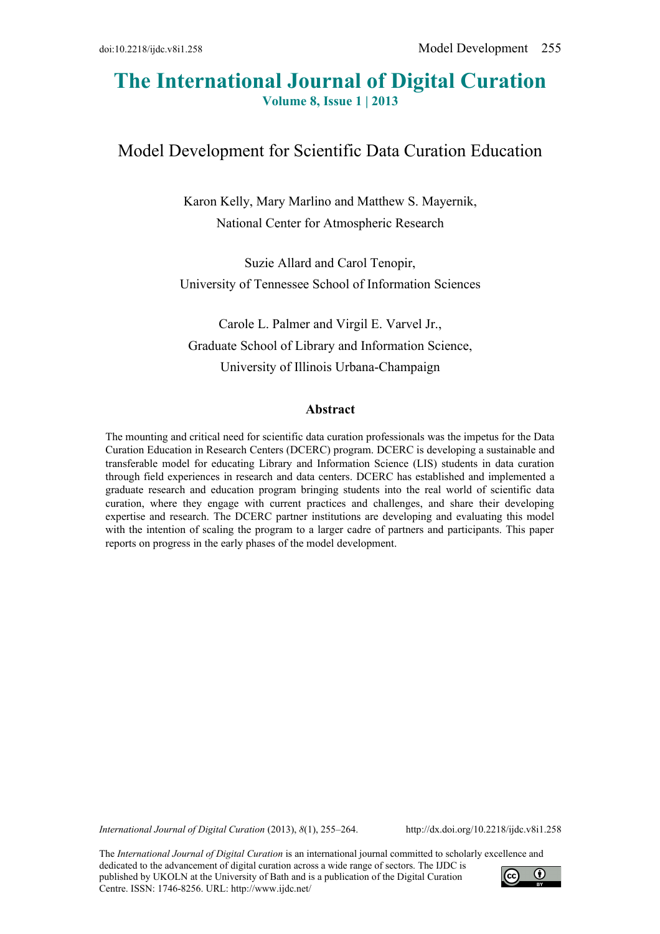# **The International Journal of Digital Curation Volume 8, Issue 1 | 2013**

# Model Development for Scientific Data Curation Education

Karon Kelly, Mary Marlino and Matthew S. Mayernik, National Center for Atmospheric Research

Suzie Allard and Carol Tenopir, University of Tennessee School of Information Sciences

Carole L. Palmer and Virgil E. Varvel Jr., Graduate School of Library and Information Science, University of Illinois Urbana-Champaign

#### **Abstract**

The mounting and critical need for scientific data curation professionals was the impetus for the Data Curation Education in Research Centers (DCERC) program. DCERC is developing a sustainable and transferable model for educating Library and Information Science (LIS) students in data curation through field experiences in research and data centers. DCERC has established and implemented a graduate research and education program bringing students into the real world of scientific data curation, where they engage with current practices and challenges, and share their developing expertise and research. The DCERC partner institutions are developing and evaluating this model with the intention of scaling the program to a larger cadre of partners and participants. This paper reports on progress in the early phases of the model development.

*International Journal of Digital Curation* (2013), *8*(1), 255–264. http://dx.doi.org/10.2218/ijdc.v8i1.258

The *International Journal of Digital Curation* is an international journal committed to scholarly excellence and dedicated to the advancement of digital curation across a wide range of sectors. The IJDC is published by UKOLN at the University of Bath and is a publication of the Digital Curation Centre. ISSN: 1746-8256. URL: http://www.ijdc.net/

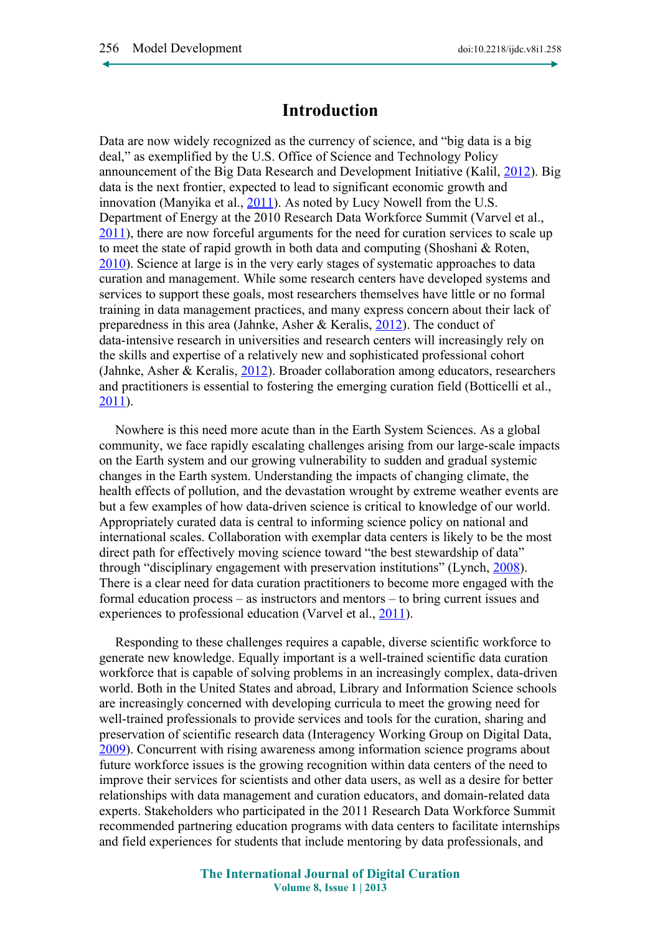## **Introduction**

Data are now widely recognized as the currency of science, and "big data is a big deal," as exemplified by the U.S. Office of Science and Technology Policy announcement of the Big Data Research and Development Initiative (Kalil, [2012\)](#page-8-0). Big data is the next frontier, expected to lead to significant economic growth and innovation (Manyika et al., [2011\)](#page-8-3). As noted by Lucy Nowell from the U.S. Department of Energy at the 2010 Research Data Workforce Summit (Varvel et al., [2011\)](#page-9-0), there are now forceful arguments for the need for curation services to scale up to meet the state of rapid growth in both data and computing (Shoshani & Roten, [2010\)](#page-8-2). Science at large is in the very early stages of systematic approaches to data curation and management. While some research centers have developed systems and services to support these goals, most researchers themselves have little or no formal training in data management practices, and many express concern about their lack of preparedness in this area (Jahnke, Asher & Keralis, [2012\)](#page-7-2). The conduct of data-intensive research in universities and research centers will increasingly rely on the skills and expertise of a relatively new and sophisticated professional cohort (Jahnke, Asher & Keralis, [2012\)](#page-7-2). Broader collaboration among educators, researchers and practitioners is essential to fostering the emerging curation field (Botticelli et al., [2011\)](#page-7-1).

Nowhere is this need more acute than in the Earth System Sciences. As a global community, we face rapidly escalating challenges arising from our large-scale impacts on the Earth system and our growing vulnerability to sudden and gradual systemic changes in the Earth system. Understanding the impacts of changing climate, the health effects of pollution, and the devastation wrought by extreme weather events are but a few examples of how data-driven science is critical to knowledge of our world. Appropriately curated data is central to informing science policy on national and international scales. Collaboration with exemplar data centers is likely to be the most direct path for effectively moving science toward "the best stewardship of data" through "disciplinary engagement with preservation institutions" (Lynch, [2008\)](#page-8-1). There is a clear need for data curation practitioners to become more engaged with the formal education process – as instructors and mentors – to bring current issues and experiences to professional education (Varvel et al., [2011\)](#page-9-0).

Responding to these challenges requires a capable, diverse scientific workforce to generate new knowledge. Equally important is a well-trained scientific data curation workforce that is capable of solving problems in an increasingly complex, data-driven world. Both in the United States and abroad, Library and Information Science schools are increasingly concerned with developing curricula to meet the growing need for well-trained professionals to provide services and tools for the curation, sharing and preservation of scientific research data (Interagency Working Group on Digital Data, [2009\)](#page-7-0). Concurrent with rising awareness among information science programs about future workforce issues is the growing recognition within data centers of the need to improve their services for scientists and other data users, as well as a desire for better relationships with data management and curation educators, and domain-related data experts. Stakeholders who participated in the 2011 Research Data Workforce Summit recommended partnering education programs with data centers to facilitate internships and field experiences for students that include mentoring by data professionals, and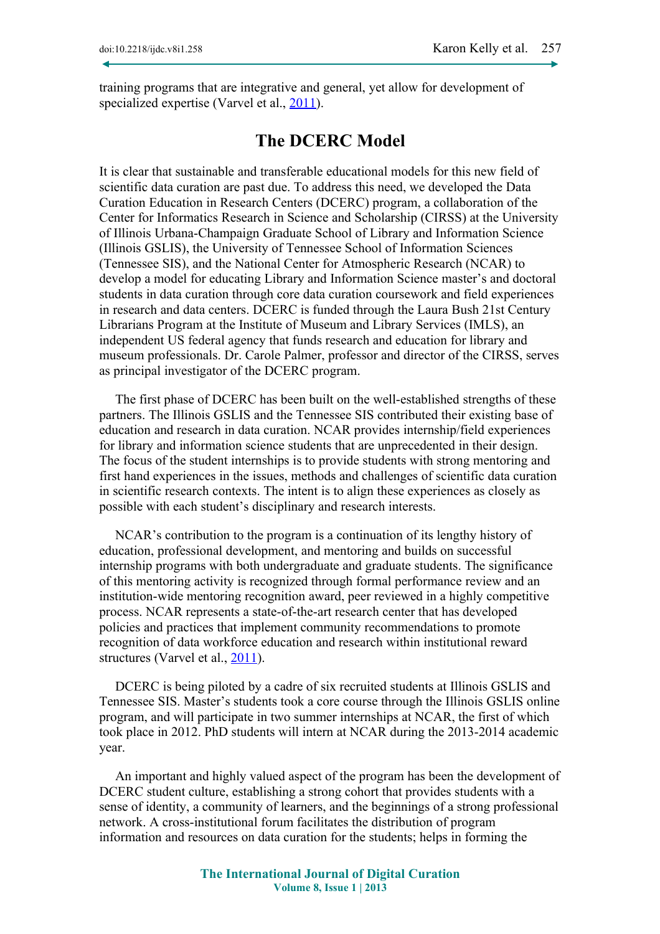training programs that are integrative and general, yet allow for development of specialized expertise (Varvel et al., [2011\)](#page-9-0).

## **The DCERC Model**

It is clear that sustainable and transferable educational models for this new field of scientific data curation are past due. To address this need, we developed the Data Curation Education in Research Centers (DCERC) program, a collaboration of the Center for Informatics Research in Science and Scholarship (CIRSS) at the University of Illinois Urbana-Champaign Graduate School of Library and Information Science (Illinois GSLIS), the University of Tennessee School of Information Sciences (Tennessee SIS), and the National Center for Atmospheric Research (NCAR) to develop a model for educating Library and Information Science master's and doctoral students in data curation through core data curation coursework and field experiences in research and data centers. DCERC is funded through the Laura Bush 21st Century Librarians Program at the Institute of Museum and Library Services (IMLS), an independent US federal agency that funds research and education for library and museum professionals. Dr. Carole Palmer, professor and director of the CIRSS, serves as principal investigator of the DCERC program.

The first phase of DCERC has been built on the well-established strengths of these partners. The Illinois GSLIS and the Tennessee SIS contributed their existing base of education and research in data curation. NCAR provides internship/field experiences for library and information science students that are unprecedented in their design. The focus of the student internships is to provide students with strong mentoring and first hand experiences in the issues, methods and challenges of scientific data curation in scientific research contexts. The intent is to align these experiences as closely as possible with each student's disciplinary and research interests.

NCAR's contribution to the program is a continuation of its lengthy history of education, professional development, and mentoring and builds on successful internship programs with both undergraduate and graduate students. The significance of this mentoring activity is recognized through formal performance review and an institution-wide mentoring recognition award, peer reviewed in a highly competitive process. NCAR represents a state-of-the-art research center that has developed policies and practices that implement community recommendations to promote recognition of data workforce education and research within institutional reward structures (Varvel et al., [2011\)](#page-9-0).

DCERC is being piloted by a cadre of six recruited students at Illinois GSLIS and Tennessee SIS. Master's students took a core course through the Illinois GSLIS online program, and will participate in two summer internships at NCAR, the first of which took place in 2012. PhD students will intern at NCAR during the 2013-2014 academic year.

An important and highly valued aspect of the program has been the development of DCERC student culture, establishing a strong cohort that provides students with a sense of identity, a community of learners, and the beginnings of a strong professional network. A cross-institutional forum facilitates the distribution of program information and resources on data curation for the students; helps in forming the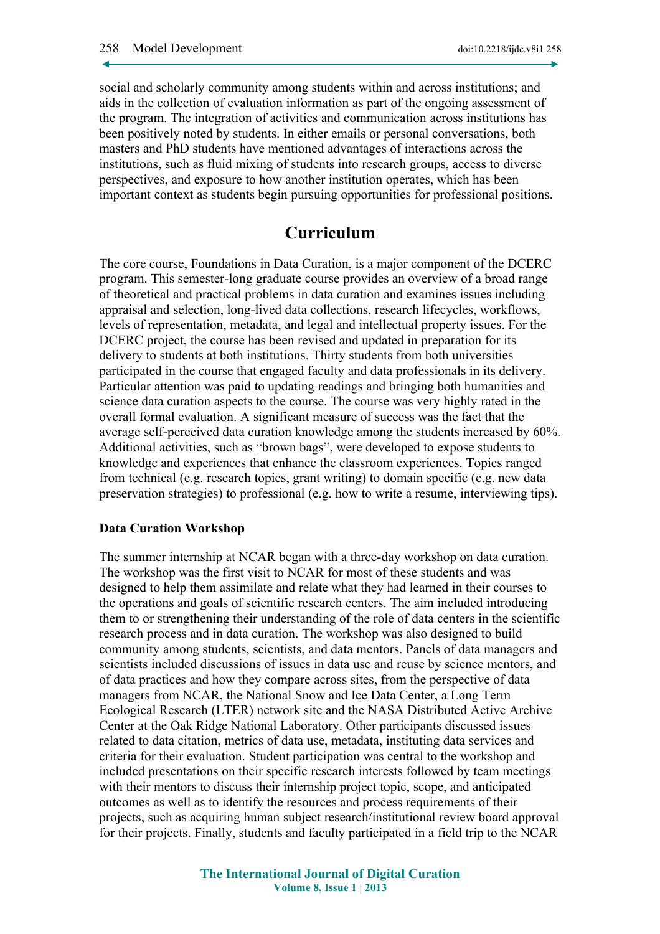social and scholarly community among students within and across institutions; and aids in the collection of evaluation information as part of the ongoing assessment of the program. The integration of activities and communication across institutions has been positively noted by students. In either emails or personal conversations, both masters and PhD students have mentioned advantages of interactions across the institutions, such as fluid mixing of students into research groups, access to diverse perspectives, and exposure to how another institution operates, which has been important context as students begin pursuing opportunities for professional positions.

## **Curriculum**

The core course, Foundations in Data Curation, is a major component of the DCERC program. This semester-long graduate course provides an overview of a broad range of theoretical and practical problems in data curation and examines issues including appraisal and selection, long-lived data collections, research lifecycles, workflows, levels of representation, metadata, and legal and intellectual property issues. For the DCERC project, the course has been revised and updated in preparation for its delivery to students at both institutions. Thirty students from both universities participated in the course that engaged faculty and data professionals in its delivery. Particular attention was paid to updating readings and bringing both humanities and science data curation aspects to the course. The course was very highly rated in the overall formal evaluation. A significant measure of success was the fact that the average self-perceived data curation knowledge among the students increased by 60%. Additional activities, such as "brown bags", were developed to expose students to knowledge and experiences that enhance the classroom experiences. Topics ranged from technical (e.g. research topics, grant writing) to domain specific (e.g. new data preservation strategies) to professional (e.g. how to write a resume, interviewing tips).

#### **Data Curation Workshop**

The summer internship at NCAR began with a three-day workshop on data curation. The workshop was the first visit to NCAR for most of these students and was designed to help them assimilate and relate what they had learned in their courses to the operations and goals of scientific research centers. The aim included introducing them to or strengthening their understanding of the role of data centers in the scientific research process and in data curation. The workshop was also designed to build community among students, scientists, and data mentors. Panels of data managers and scientists included discussions of issues in data use and reuse by science mentors, and of data practices and how they compare across sites, from the perspective of data managers from NCAR, the National Snow and Ice Data Center, a Long Term Ecological Research (LTER) network site and the NASA Distributed Active Archive Center at the Oak Ridge National Laboratory. Other participants discussed issues related to data citation, metrics of data use, metadata, instituting data services and criteria for their evaluation. Student participation was central to the workshop and included presentations on their specific research interests followed by team meetings with their mentors to discuss their internship project topic, scope, and anticipated outcomes as well as to identify the resources and process requirements of their projects, such as acquiring human subject research/institutional review board approval for their projects. Finally, students and faculty participated in a field trip to the NCAR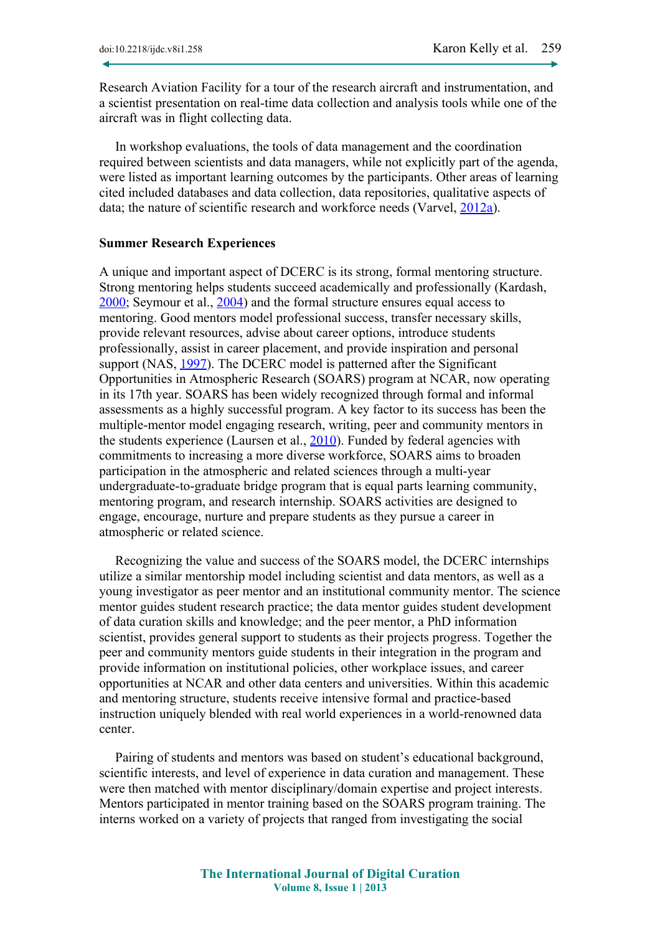Research Aviation Facility for a tour of the research aircraft and instrumentation, and a scientist presentation on real-time data collection and analysis tools while one of the aircraft was in flight collecting data.

In workshop evaluations, the tools of data management and the coordination required between scientists and data managers, while not explicitly part of the agenda, were listed as important learning outcomes by the participants. Other areas of learning cited included databases and data collection, data repositories, qualitative aspects of data; the nature of scientific research and workforce needs (Varvel, [2012a\)](#page-9-1).

#### **Summer Research Experiences**

A unique and important aspect of DCERC is its strong, formal mentoring structure. Strong mentoring helps students succeed academically and professionally (Kardash, [2000;](#page-8-7) Seymour et al., [2004\)](#page-8-6) and the formal structure ensures equal access to mentoring. Good mentors model professional success, transfer necessary skills, provide relevant resources, advise about career options, introduce students professionally, assist in career placement, and provide inspiration and personal support (NAS, [1997\)](#page-8-5). The DCERC model is patterned after the Significant Opportunities in Atmospheric Research (SOARS) program at NCAR, now operating in its 17th year. SOARS has been widely recognized through formal and informal assessments as a highly successful program. A key factor to its success has been the multiple-mentor model engaging research, writing, peer and community mentors in the students experience (Laursen et al., [2010\)](#page-8-4). Funded by federal agencies with commitments to increasing a more diverse workforce, SOARS aims to broaden participation in the atmospheric and related sciences through a multi-year undergraduate-to-graduate bridge program that is equal parts learning community, mentoring program, and research internship. SOARS activities are designed to engage, encourage, nurture and prepare students as they pursue a career in atmospheric or related science.

Recognizing the value and success of the SOARS model, the DCERC internships utilize a similar mentorship model including scientist and data mentors, as well as a young investigator as peer mentor and an institutional community mentor. The science mentor guides student research practice; the data mentor guides student development of data curation skills and knowledge; and the peer mentor, a PhD information scientist, provides general support to students as their projects progress. Together the peer and community mentors guide students in their integration in the program and provide information on institutional policies, other workplace issues, and career opportunities at NCAR and other data centers and universities. Within this academic and mentoring structure, students receive intensive formal and practice-based instruction uniquely blended with real world experiences in a world-renowned data center.

Pairing of students and mentors was based on student's educational background, scientific interests, and level of experience in data curation and management. These were then matched with mentor disciplinary/domain expertise and project interests. Mentors participated in mentor training based on the SOARS program training. The interns worked on a variety of projects that ranged from investigating the social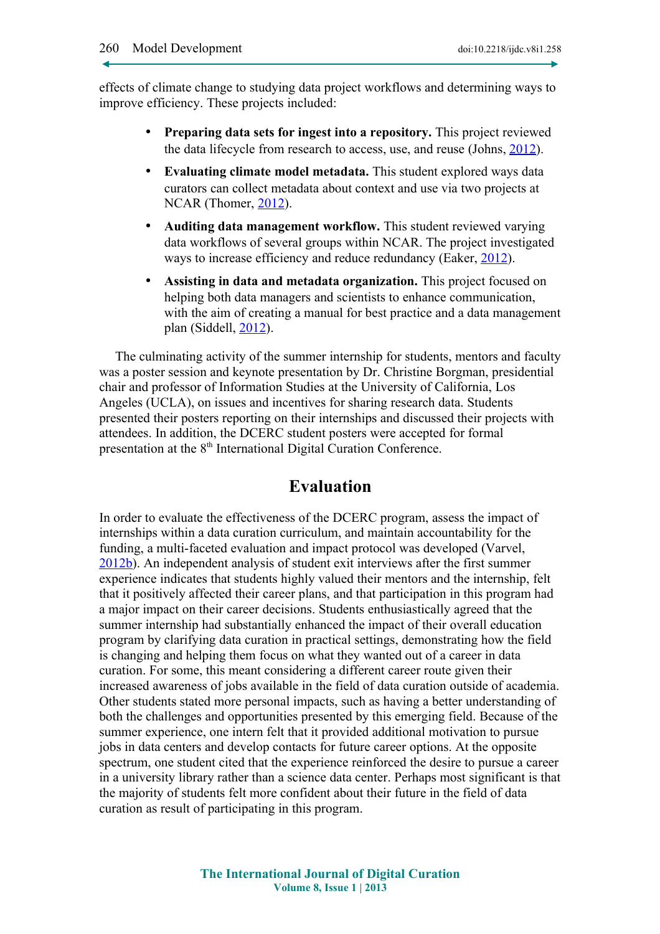effects of climate change to studying data project workflows and determining ways to improve efficiency. These projects included:

- **Preparing data sets for ingest into a repository.** This project reviewed the data lifecycle from research to access, use, and reuse (Johns, [2012\)](#page-8-9).
- **Evaluating climate model metadata.** This student explored ways data curators can collect metadata about context and use via two projects at NCAR (Thomer, [2012\)](#page-9-3).
- **Auditing data management workflow.** This student reviewed varying data workflows of several groups within NCAR. The project investigated ways to increase efficiency and reduce redundancy (Eaker, [2012\)](#page-7-3).
- **Assisting in data and metadata organization.** This project focused on helping both data managers and scientists to enhance communication, with the aim of creating a manual for best practice and a data management plan (Siddell, [2012\)](#page-8-8).

The culminating activity of the summer internship for students, mentors and faculty was a poster session and keynote presentation by Dr. Christine Borgman, presidential chair and professor of Information Studies at the University of California, Los Angeles (UCLA), on issues and incentives for sharing research data. Students presented their posters reporting on their internships and discussed their projects with attendees. In addition, the DCERC student posters were accepted for formal presentation at the 8<sup>th</sup> International Digital Curation Conference.

## **Evaluation**

In order to evaluate the effectiveness of the DCERC program, assess the impact of internships within a data curation curriculum, and maintain accountability for the funding, a multi-faceted evaluation and impact protocol was developed (Varvel, [2012b\)](#page-9-2). An independent analysis of student exit interviews after the first summer experience indicates that students highly valued their mentors and the internship, felt that it positively affected their career plans, and that participation in this program had a major impact on their career decisions. Students enthusiastically agreed that the summer internship had substantially enhanced the impact of their overall education program by clarifying data curation in practical settings, demonstrating how the field is changing and helping them focus on what they wanted out of a career in data curation. For some, this meant considering a different career route given their increased awareness of jobs available in the field of data curation outside of academia. Other students stated more personal impacts, such as having a better understanding of both the challenges and opportunities presented by this emerging field. Because of the summer experience, one intern felt that it provided additional motivation to pursue jobs in data centers and develop contacts for future career options. At the opposite spectrum, one student cited that the experience reinforced the desire to pursue a career in a university library rather than a science data center. Perhaps most significant is that the majority of students felt more confident about their future in the field of data curation as result of participating in this program.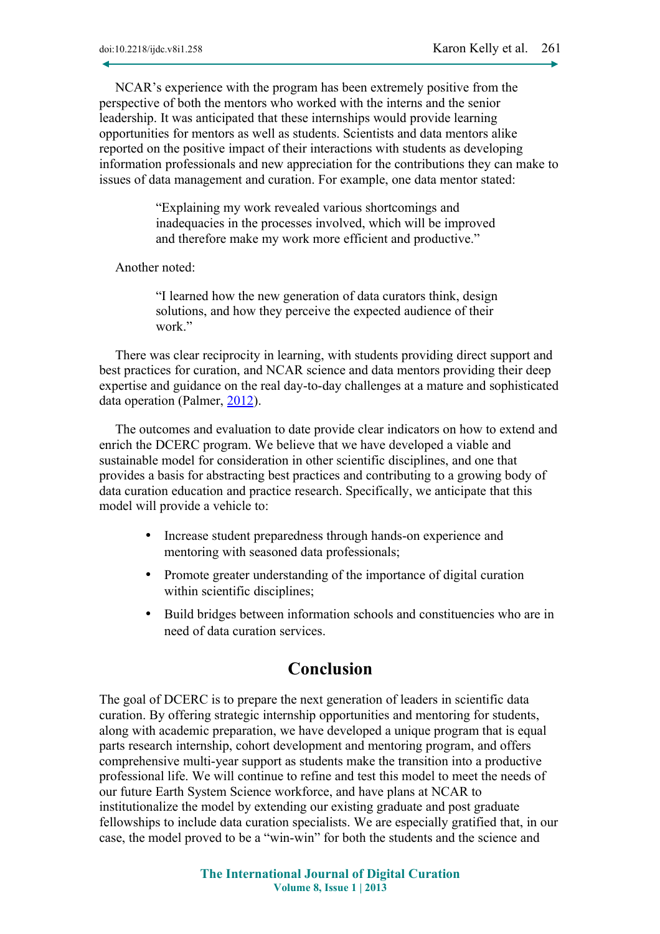NCAR's experience with the program has been extremely positive from the perspective of both the mentors who worked with the interns and the senior leadership. It was anticipated that these internships would provide learning opportunities for mentors as well as students. Scientists and data mentors alike reported on the positive impact of their interactions with students as developing information professionals and new appreciation for the contributions they can make to issues of data management and curation. For example, one data mentor stated:

> "Explaining my work revealed various shortcomings and inadequacies in the processes involved, which will be improved and therefore make my work more efficient and productive."

Another noted:

"I learned how the new generation of data curators think, design solutions, and how they perceive the expected audience of their work"

There was clear reciprocity in learning, with students providing direct support and best practices for curation, and NCAR science and data mentors providing their deep expertise and guidance on the real day-to-day challenges at a mature and sophisticated data operation (Palmer, [2012\)](#page-8-10).

The outcomes and evaluation to date provide clear indicators on how to extend and enrich the DCERC program. We believe that we have developed a viable and sustainable model for consideration in other scientific disciplines, and one that provides a basis for abstracting best practices and contributing to a growing body of data curation education and practice research. Specifically, we anticipate that this model will provide a vehicle to:

- Increase student preparedness through hands-on experience and mentoring with seasoned data professionals;
- Promote greater understanding of the importance of digital curation within scientific disciplines;
- Build bridges between information schools and constituencies who are in need of data curation services.

## **Conclusion**

The goal of DCERC is to prepare the next generation of leaders in scientific data curation. By offering strategic internship opportunities and mentoring for students, along with academic preparation, we have developed a unique program that is equal parts research internship, cohort development and mentoring program, and offers comprehensive multi-year support as students make the transition into a productive professional life. We will continue to refine and test this model to meet the needs of our future Earth System Science workforce, and have plans at NCAR to institutionalize the model by extending our existing graduate and post graduate fellowships to include data curation specialists. We are especially gratified that, in our case, the model proved to be a "win-win" for both the students and the science and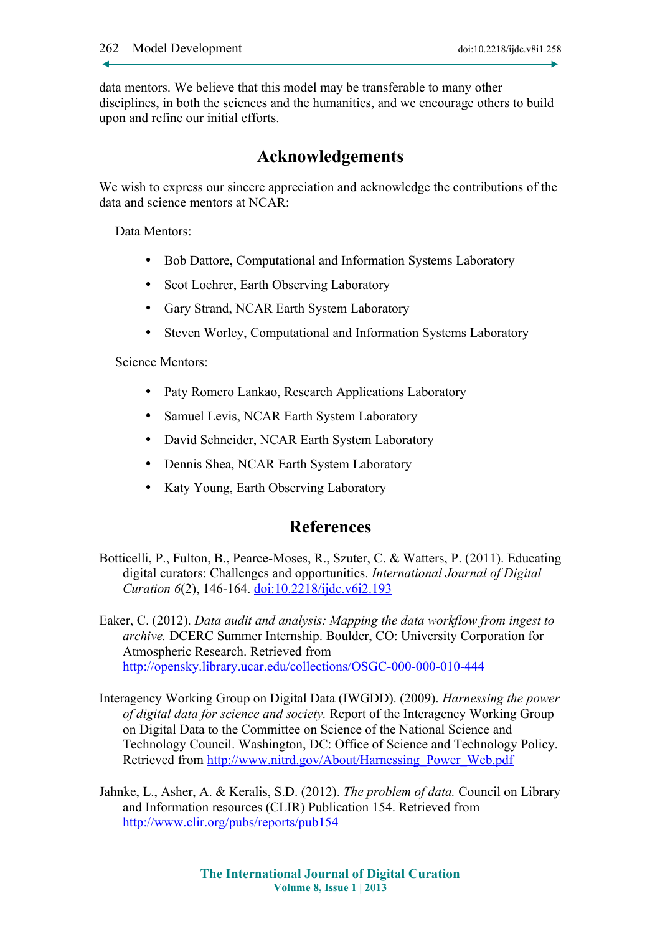data mentors. We believe that this model may be transferable to many other disciplines, in both the sciences and the humanities, and we encourage others to build upon and refine our initial efforts.

## **Acknowledgements**

We wish to express our sincere appreciation and acknowledge the contributions of the data and science mentors at NCAR:

Data Mentors:

- Bob Dattore, Computational and Information Systems Laboratory
- Scot Loehrer, Earth Observing Laboratory
- Gary Strand, NCAR Earth System Laboratory
- Steven Worley, Computational and Information Systems Laboratory

Science Mentors:

- Paty Romero Lankao, Research Applications Laboratory
- Samuel Levis, NCAR Earth System Laboratory
- David Schneider, NCAR Earth System Laboratory
- Dennis Shea, NCAR Earth System Laboratory
- Katy Young, Earth Observing Laboratory

### **References**

<span id="page-7-1"></span>Botticelli, P., Fulton, B., Pearce-Moses, R., Szuter, C. & Watters, P. (2011). Educating digital curators: Challenges and opportunities. *International Journal of Digital Curation 6*(2), 146-164. [doi:10.2218/ijdc.v6i2.193](http://dx.doi.org/10.2218/ijdc.v6i2.193)

<span id="page-7-3"></span>Eaker, C. (2012). *Data audit and analysis: Mapping the data workflow from ingest to archive.* DCERC Summer Internship. Boulder, CO: University Corporation for Atmospheric Research. Retrieved from <http://opensky.library.ucar.edu/collections/OSGC-000-000-010-444>

- <span id="page-7-0"></span>Interagency Working Group on Digital Data (IWGDD). (2009). *Harnessing the power of digital data for science and society.* Report of the Interagency Working Group on Digital Data to the Committee on Science of the National Science and Technology Council. Washington, DC: Office of Science and Technology Policy. Retrieved from [http://www.nitrd.gov/About/Harnessing\\_Power\\_Web.pdf](http://www.nitrd.gov/About/Harnessing_Power_Web.pdf)
- <span id="page-7-2"></span>Jahnke, L., Asher, A. & Keralis, S.D. (2012). *The problem of data.* Council on Library and Information resources (CLIR) Publication 154. Retrieved from <http://www.clir.org/pubs/reports/pub154>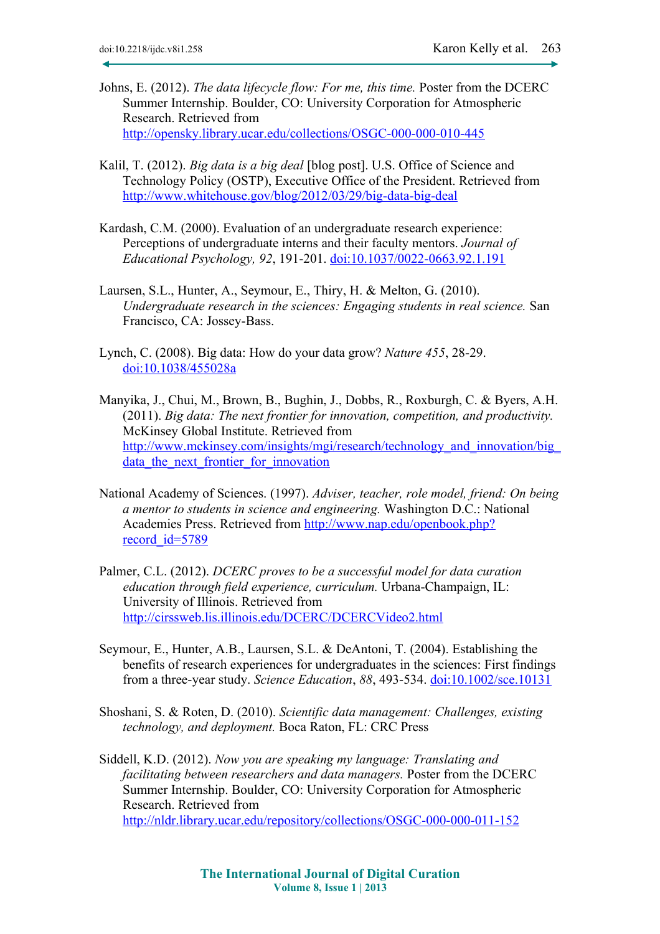- <span id="page-8-9"></span>Johns, E. (2012). *The data lifecycle flow: For me, this time.* Poster from the DCERC Summer Internship. Boulder, CO: University Corporation for Atmospheric Research. Retrieved from <http://opensky.library.ucar.edu/collections/OSGC-000-000-010-445>
- <span id="page-8-0"></span>Kalil, T. (2012). *Big data is a big deal* [blog post]. U.S. Office of Science and Technology Policy (OSTP), Executive Office of the President. Retrieved from <http://www.whitehouse.gov/blog/2012/03/29/big-data-big-deal>
- <span id="page-8-7"></span>Kardash, C.M. (2000). Evaluation of an undergraduate research experience: Perceptions of undergraduate interns and their faculty mentors. *Journal of Educational Psychology, 92*, 191-201. [doi:10.1037/0022-0663.92.1.191](http://dx.doi.org/10.1037/0022-0663.92.1.191)
- <span id="page-8-4"></span>Laursen, S.L., Hunter, A., Seymour, E., Thiry, H. & Melton, G. (2010). *Undergraduate research in the sciences: Engaging students in real science.* San Francisco, CA: Jossey-Bass.
- <span id="page-8-1"></span>Lynch, C. (2008). Big data: How do your data grow? *Nature 455*, 28-29. [doi:10.1038/455028a](http://dx.doi.org/10.1038/455028a)
- <span id="page-8-3"></span>Manyika, J., Chui, M., Brown, B., Bughin, J., Dobbs, R., Roxburgh, C. & Byers, A.H. (2011). *Big data: The next frontier for innovation, competition, and productivity.* McKinsey Global Institute. Retrieved from http://www.mckinsey.com/insights/mgi/research/technology\_and\_innovation/big data the next frontier for innovation
- <span id="page-8-5"></span>National Academy of Sciences. (1997). *Adviser, teacher, role model, friend: On being a mentor to students in science and engineering.* Washington D.C.: National Academies Press. Retrieved from [http://www.nap.edu/openbook.php?](http://www.nap.edu/openbook.php?record_id=5789) [record\\_id=5789](http://www.nap.edu/openbook.php?record_id=5789)
- <span id="page-8-10"></span>Palmer, C.L. (2012). *DCERC proves to be a successful model for data curation education through field experience, curriculum.* Urbana-Champaign, IL: University of Illinois. Retrieved from <http://cirssweb.lis.illinois.edu/DCERC/DCERCVideo2.html>
- <span id="page-8-6"></span>Seymour, E., Hunter, A.B., Laursen, S.L. & DeAntoni, T. (2004). Establishing the benefits of research experiences for undergraduates in the sciences: First findings from a three-year study. *Science Education*, *88*, 493-534. [doi:10.1002/sce.10131](http://dx.doi.org/10.1002/sce.10131)
- <span id="page-8-2"></span>Shoshani, S. & Roten, D. (2010). *Scientific data management: Challenges, existing technology, and deployment.* Boca Raton, FL: CRC Press
- <span id="page-8-8"></span>Siddell, K.D. (2012). *Now you are speaking my language: Translating and facilitating between researchers and data managers.* Poster from the DCERC Summer Internship. Boulder, CO: University Corporation for Atmospheric Research. Retrieved from <http://nldr.library.ucar.edu/repository/collections/OSGC-000-000-011-152>